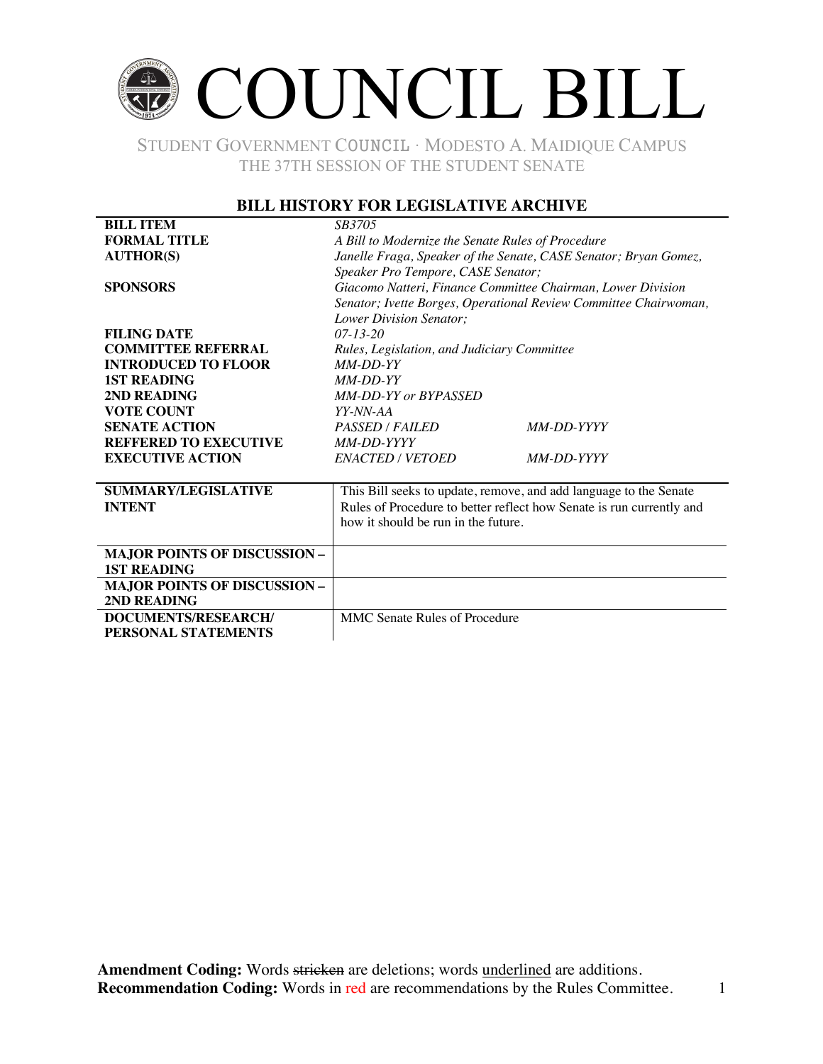# COUNCIL BILL

STUDENT GOVERNMENT COUNCIL ∙ MODESTO A. MAIDIQUE CAMPUS THE 37TH SESSION OF THE STUDENT SENATE

### **BILL HISTORY FOR LEGISLATIVE ARCHIVE**

| <b>BILL ITEM</b>                    | SB3705                                                               |                   |  |
|-------------------------------------|----------------------------------------------------------------------|-------------------|--|
| <b>FORMAL TITLE</b>                 | A Bill to Modernize the Senate Rules of Procedure                    |                   |  |
| <b>AUTHOR(S)</b>                    | Janelle Fraga, Speaker of the Senate, CASE Senator; Bryan Gomez,     |                   |  |
|                                     | Speaker Pro Tempore, CASE Senator;                                   |                   |  |
| <b>SPONSORS</b>                     | Giacomo Natteri, Finance Committee Chairman, Lower Division          |                   |  |
|                                     | Senator; Ivette Borges, Operational Review Committee Chairwoman,     |                   |  |
|                                     | Lower Division Senator;                                              |                   |  |
| <b>FILING DATE</b>                  | $07 - 13 - 20$                                                       |                   |  |
| <b>COMMITTEE REFERRAL</b>           | Rules, Legislation, and Judiciary Committee                          |                   |  |
| <b>INTRODUCED TO FLOOR</b>          | $MM$ -DD-YY                                                          |                   |  |
| <b>1ST READING</b>                  | $MM$ -DD-YY                                                          |                   |  |
| 2ND READING                         | <b>MM-DD-YY or BYPASSED</b>                                          |                   |  |
| <b>VOTE COUNT</b>                   | YY-NN-AA                                                             |                   |  |
| <b>SENATE ACTION</b>                | <b>PASSED / FAILED</b>                                               | MM-DD-YYYY        |  |
| <b>REFFERED TO EXECUTIVE</b>        | MM-DD-YYYY                                                           |                   |  |
| <b>EXECUTIVE ACTION</b>             | ENACTED / VETOED                                                     | <i>MM-DD-YYYY</i> |  |
|                                     |                                                                      |                   |  |
| <b>SUMMARY/LEGISLATIVE</b>          | This Bill seeks to update, remove, and add language to the Senate    |                   |  |
| <b>INTENT</b>                       | Rules of Procedure to better reflect how Senate is run currently and |                   |  |
|                                     | how it should be run in the future.                                  |                   |  |
|                                     |                                                                      |                   |  |
| <b>MAJOR POINTS OF DISCUSSION -</b> |                                                                      |                   |  |
| <b>1ST READING</b>                  |                                                                      |                   |  |
| <b>MAJOR POINTS OF DISCUSSION -</b> |                                                                      |                   |  |
| 2ND READING                         |                                                                      |                   |  |
| DOCUMENTS/RESEARCH/                 | <b>MMC</b> Senate Rules of Procedure                                 |                   |  |
| PERSONAL STATEMENTS                 |                                                                      |                   |  |
|                                     |                                                                      |                   |  |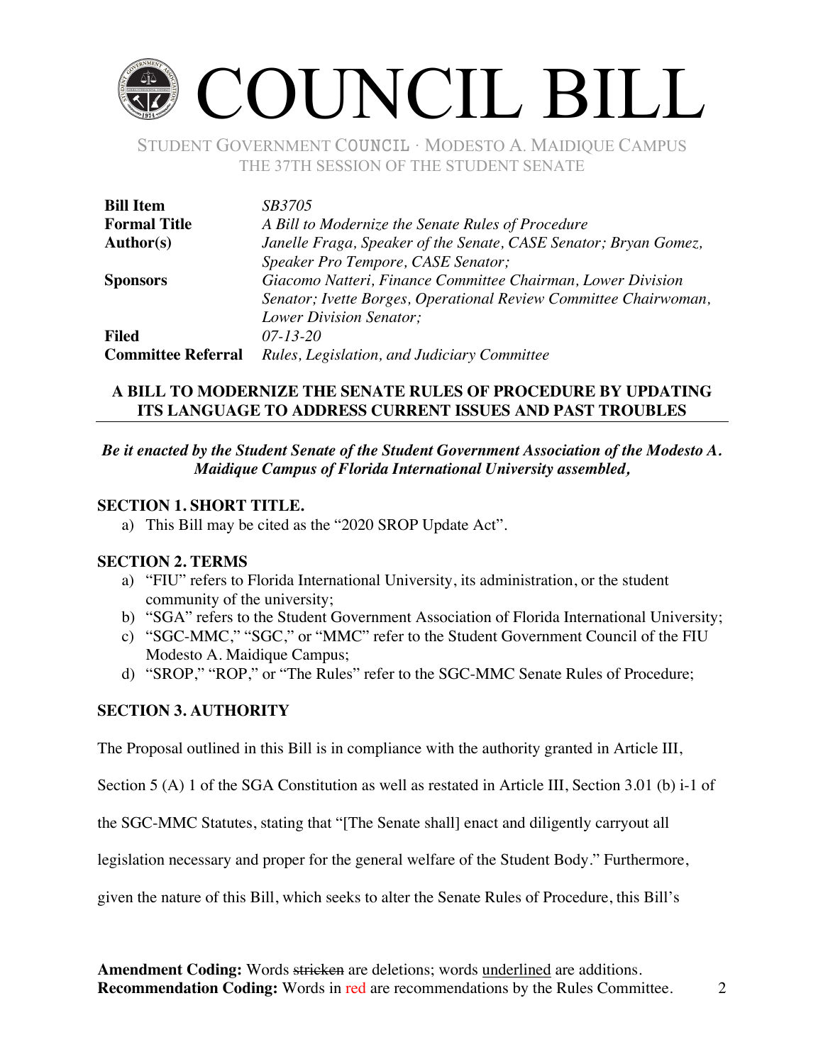# COUNCIL BILL

STUDENT GOVERNMENT COUNCIL ∙ MODESTO A. MAIDIQUE CAMPUS THE 37TH SESSION OF THE STUDENT SENATE

| <b>Bill Item</b>          | <i>SB3705</i>                                                    |  |  |  |
|---------------------------|------------------------------------------------------------------|--|--|--|
| <b>Formal Title</b>       | A Bill to Modernize the Senate Rules of Procedure                |  |  |  |
| <b>Author(s)</b>          | Janelle Fraga, Speaker of the Senate, CASE Senator; Bryan Gomez, |  |  |  |
|                           | Speaker Pro Tempore, CASE Senator;                               |  |  |  |
| <b>Sponsors</b>           | Giacomo Natteri, Finance Committee Chairman, Lower Division      |  |  |  |
|                           | Senator; Ivette Borges, Operational Review Committee Chairwoman, |  |  |  |
|                           | Lower Division Senator;                                          |  |  |  |
| <b>Filed</b>              | $07 - 13 - 20$                                                   |  |  |  |
| <b>Committee Referral</b> | Rules, Legislation, and Judiciary Committee                      |  |  |  |

# **A BILL TO MODERNIZE THE SENATE RULES OF PROCEDURE BY UPDATING ITS LANGUAGE TO ADDRESS CURRENT ISSUES AND PAST TROUBLES**

# *Be it enacted by the Student Senate of the Student Government Association of the Modesto A. Maidique Campus of Florida International University assembled,*

# **SECTION 1. SHORT TITLE.**

a) This Bill may be cited as the "2020 SROP Update Act".

#### **SECTION 2. TERMS**

- a) "FIU" refers to Florida International University, its administration, or the student community of the university;
- b) "SGA" refers to the Student Government Association of Florida International University;
- c) "SGC-MMC," "SGC," or "MMC" refer to the Student Government Council of the FIU Modesto A. Maidique Campus;
- d) "SROP," "ROP," or "The Rules" refer to the SGC-MMC Senate Rules of Procedure;

# **SECTION 3. AUTHORITY**

The Proposal outlined in this Bill is in compliance with the authority granted in Article III,

Section 5 (A) 1 of the SGA Constitution as well as restated in Article III, Section 3.01 (b) i-1 of

the SGC-MMC Statutes, stating that "[The Senate shall] enact and diligently carryout all

legislation necessary and proper for the general welfare of the Student Body." Furthermore,

given the nature of this Bill, which seeks to alter the Senate Rules of Procedure, this Bill's

**Amendment Coding:** Words stricken are deletions; words underlined are additions. **Recommendation Coding:** Words in red are recommendations by the Rules Committee. 2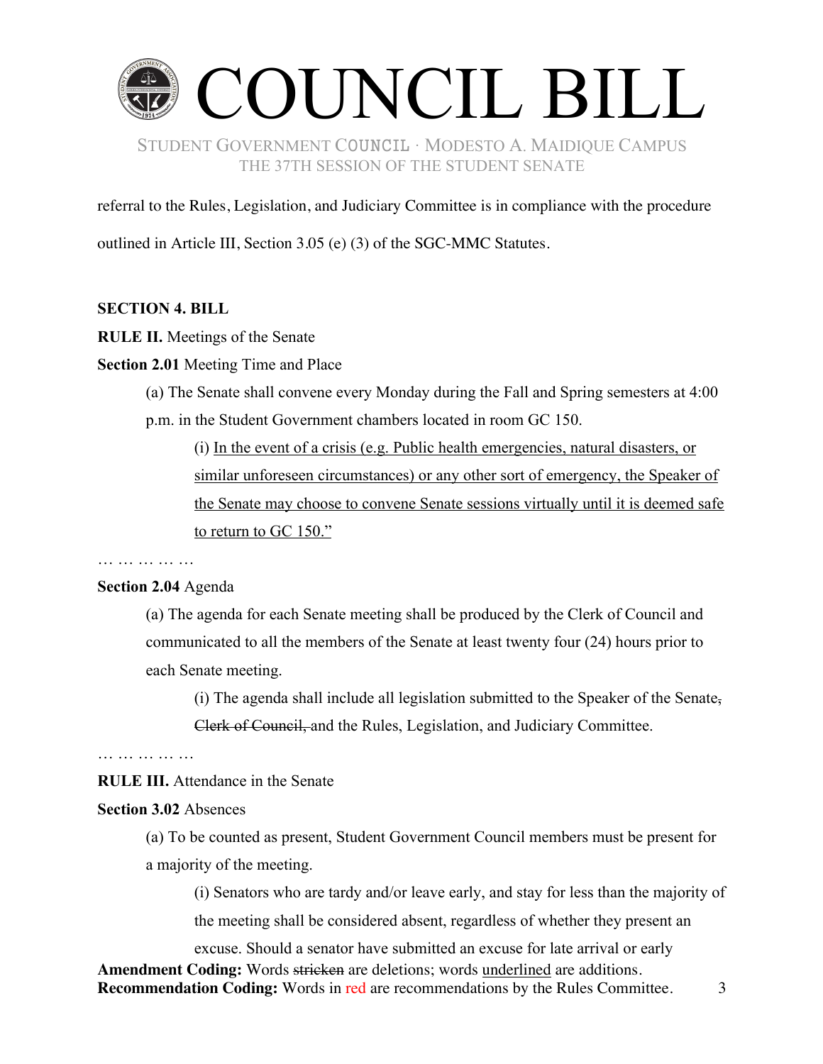

referral to the Rules, Legislation, and Judiciary Committee is in compliance with the procedure

outlined in Article III, Section 3.05 (e) (3) of the SGC-MMC Statutes.

#### **SECTION 4. BILL**

**RULE II.** Meetings of the Senate

**Section 2.01** Meeting Time and Place

(a) The Senate shall convene every Monday during the Fall and Spring semesters at 4:00 p.m. in the Student Government chambers located in room GC 150.

(i) In the event of a crisis (e.g. Public health emergencies, natural disasters, or similar unforeseen circumstances) or any other sort of emergency, the Speaker of the Senate may choose to convene Senate sessions virtually until it is deemed safe to return to GC 150."

… … … … … … …

#### **Section 2.04** Agenda

(a) The agenda for each Senate meeting shall be produced by the Clerk of Council and communicated to all the members of the Senate at least twenty four (24) hours prior to each Senate meeting.

(i) The agenda shall include all legislation submitted to the Speaker of the Senate-Clerk of Council, and the Rules, Legislation, and Judiciary Committee.

… … … … … … … …

**RULE III.** Attendance in the Senate

#### **Section 3.02** Absences

(a) To be counted as present, Student Government Council members must be present for a majority of the meeting.

(i) Senators who are tardy and/or leave early, and stay for less than the majority of the meeting shall be considered absent, regardless of whether they present an

**Amendment Coding:** Words stricken are deletions; words underlined are additions. **Recommendation Coding:** Words in red are recommendations by the Rules Committee. 3 excuse. Should a senator have submitted an excuse for late arrival or early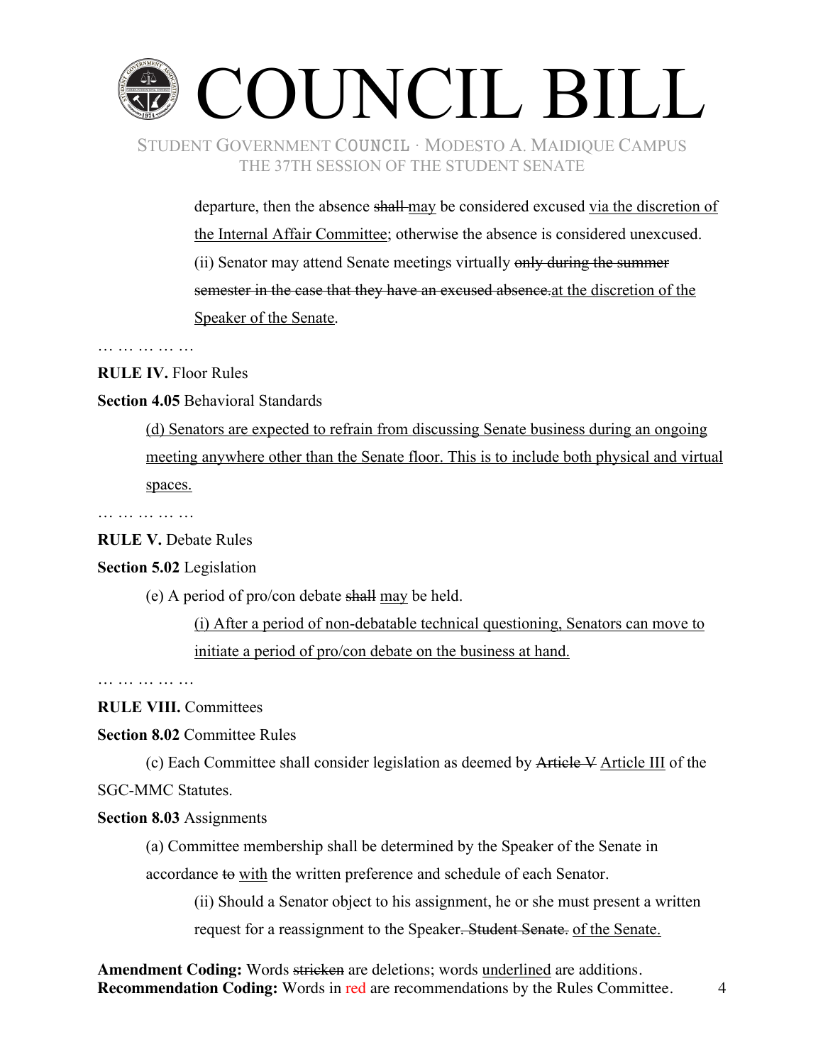

departure, then the absence shall-may be considered excused via the discretion of the Internal Affair Committee; otherwise the absence is considered unexcused.

(ii) Senator may attend Senate meetings virtually only during the summer semester in the case that they have an excused absence at the discretion of the Speaker of the Senate.

… … … … … … … …

**RULE IV.** Floor Rules

**Section 4.05** Behavioral Standards

(d) Senators are expected to refrain from discussing Senate business during an ongoing meeting anywhere other than the Senate floor. This is to include both physical and virtual spaces.

… … … … … …

**RULE V.** Debate Rules

# **Section 5.02** Legislation

(e) A period of pro/con debate shall may be held.

(i) After a period of non-debatable technical questioning, Senators can move to initiate a period of pro/con debate on the business at hand.

… … … … … … … …

**RULE VIII.** Committees

**Section 8.02** Committee Rules

(c) Each Committee shall consider legislation as deemed by Article V Article III of the SGC-MMC Statutes.

#### **Section 8.03** Assignments

(a) Committee membership shall be determined by the Speaker of the Senate in accordance to with the written preference and schedule of each Senator.

(ii) Should a Senator object to his assignment, he or she must present a written request for a reassignment to the Speaker. Student Senate. of the Senate.

Amendment Coding: Words stricken are deletions; words underlined are additions. **Recommendation Coding:** Words in red are recommendations by the Rules Committee. 4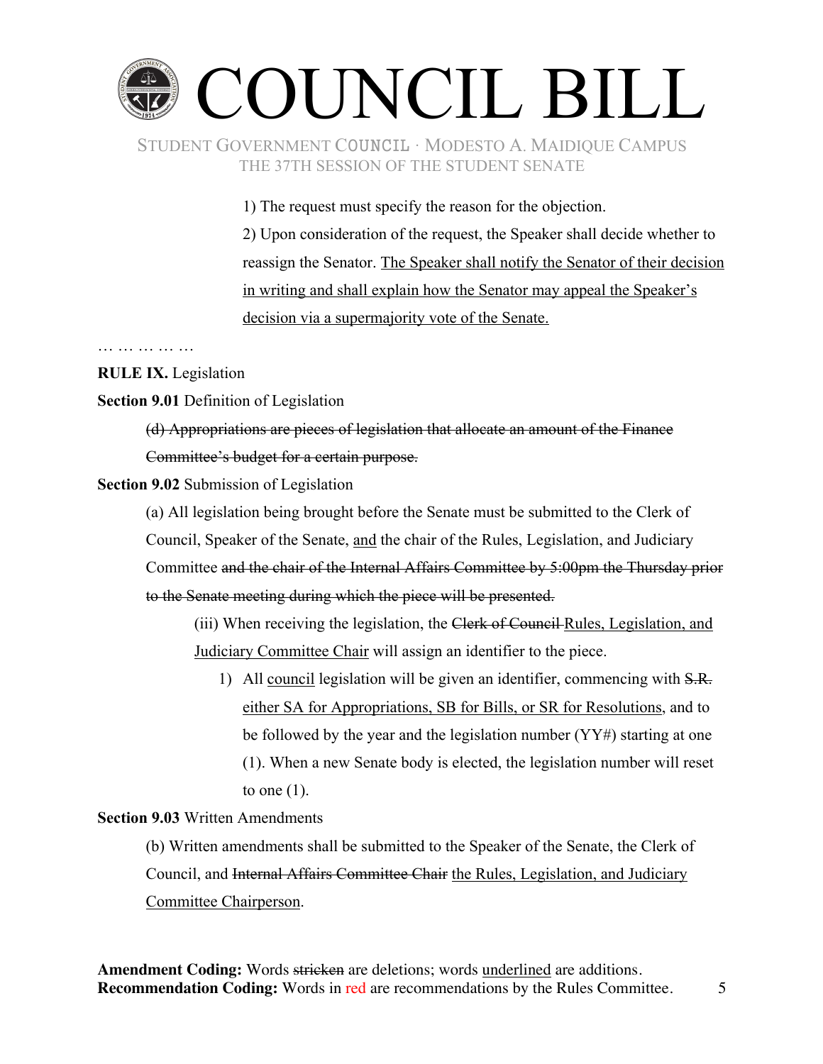# COUNCIL BILL

# STUDENT GOVERNMENT COUNCIL ∙ MODESTO A. MAIDIQUE CAMPUS THE 37TH SESSION OF THE STUDENT SENATE

1) The request must specify the reason for the objection. 2) Upon consideration of the request, the Speaker shall decide whether to reassign the Senator. The Speaker shall notify the Senator of their decision in writing and shall explain how the Senator may appeal the Speaker's decision via a supermajority vote of the Senate.

#### … … … … … … … …

# **RULE IX.** Legislation

**Section 9.01** Definition of Legislation

(d) Appropriations are pieces of legislation that allocate an amount of the Finance Committee's budget for a certain purpose.

# **Section 9.02** Submission of Legislation

(a) All legislation being brought before the Senate must be submitted to the Clerk of Council, Speaker of the Senate, and the chair of the Rules, Legislation, and Judiciary Committee and the chair of the Internal Affairs Committee by 5:00pm the Thursday prior to the Senate meeting during which the piece will be presented.

(iii) When receiving the legislation, the Clerk of Council Rules, Legislation, and Judiciary Committee Chair will assign an identifier to the piece.

1) All council legislation will be given an identifier, commencing with S.R. either SA for Appropriations, SB for Bills, or SR for Resolutions, and to be followed by the year and the legislation number  $(YY#)$  starting at one (1). When a new Senate body is elected, the legislation number will reset to one  $(1)$ .

# **Section 9.03** Written Amendments

(b) Written amendments shall be submitted to the Speaker of the Senate, the Clerk of Council, and Internal Affairs Committee Chair the Rules, Legislation, and Judiciary Committee Chairperson.